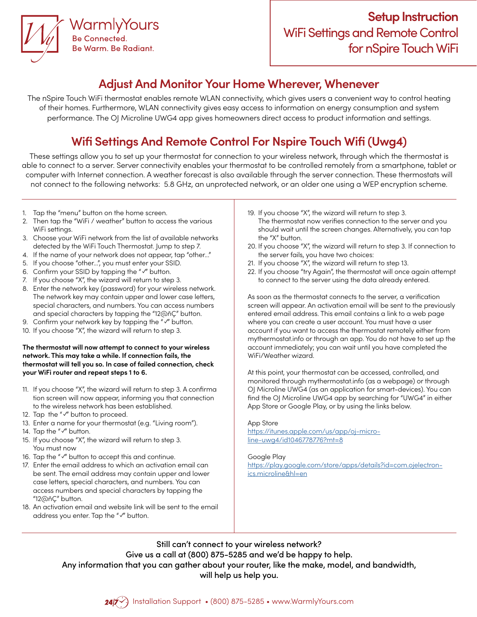

## **Adjust And Monitor Your Home Wherever, Whenever**

The nSpire Touch WiFi thermostat enables remote WLAN connectivity, which gives users a convenient way to control heating of their homes. Furthermore, WLAN connectivity gives easy access to information on energy consumption and system performance. The OJ Microline UWG4 app gives homeowners direct access to product information and settings.

# **Wifi Settings And Remote Control For Nspire Touch Wifi (Uwg4)**

These settings allow you to set up your thermostat for connection to your wireless network, through which the thermostat is able to connect to a server. Server connectivity enables your thermostat to be controlled remotely from a smartphone, tablet or computer with Internet connection. A weather forecast is also available through the server connection. These thermostats will not connect to the following networks: 5.8 GHz, an unprotected network, or an older one using a WEP encryption scheme.

- 1. Tap the "menu" button on the home screen.
- 2. Then tap the "WiFi / weather" button to access the various WiFi settings.
- 3. Choose your WiFi network from the list of available networks detected by the WiFi Touch Thermostat. Jump to step 7.
- 4. If the name of your network does not appear, tap "other..."
- 5. If you choose "other...", you must enter your SSID.
- 6. Confirm your SSID by tapping the "✓" button.
- 7. If you choose "X", the wizard will return to step 3.
- 8. Enter the network key (password) for your wireless network. The network key may contain upper and lower case letters, special characters, and numbers. You can access numbers and special characters by tapping the "12@ñÇ" button.
- 9. Confirm your network key by tapping the "√" button.
- 10. If you choose "X", the wizard will return to step 3.

### **The thermostat will now attempt to connect to your wireless network. This may take a while. If connection fails, the thermostat will tell you so. In case of failed connection, check your WiFi router and repeat steps 1 to 6.**

- 11. If you choose "X", the wizard will return to step 3. A confirma tion screen will now appear, informing you that connection to the wireless network has been established.
- 12. Tap the "√" button to proceed.
- 13. Enter a name for your thermostat (e.g. "Living room").
- 14. Tap the "√" button.
- 15. If you choose "X", the wizard will return to step 3. You must now
- 16. Tap the "✓" button to accept this and continue.
- 17. Enter the email address to which an activation email can be sent. The email address may contain upper and lower case letters, special characters, and numbers. You can access numbers and special characters by tapping the "12@ñÇ" button.
- 18. An activation email and website link will be sent to the email address you enter. Tap the "✓" button.
- 19. If you choose "X", the wizard will return to step 3. The thermostat now verifies connection to the server and you should wait until the screen changes. Alternatively, you can tap the "X" button.
- 20. If you choose "X", the wizard will return to step 3. If connection to the server fails, you have two choices:
- 21. If you choose "X", the wizard will return to step 13.
- 22. If you choose "try Again", the thermostat will once again attempt to connect to the server using the data already entered.

As soon as the thermostat connects to the server, a verification screen will appear. An activation email will be sent to the previously entered email address. This email contains a link to a web page where you can create a user account. You must have a user account if you want to access the thermostat remotely either from mythermostat.info or through an app. You do not have to set up the account immediately; you can wait until you have completed the WiFi/Weather wizard.

At this point, your thermostat can be accessed, controlled, and monitored through mythermostat.info (as a webpage) or through OJ Microline UWG4 (as an application for smart-devices). You can find the OJ Microline UWG4 app by searching for "UWG4" in either App Store or Google Play, or by using the links below.

### App Store

[https://itunes.apple.com/us/app/oj-micro](https://itunes.apple.com/us/app/oj-micro- line-uwg4/id1046778776?mt=8 )[line-uwg4/id1046778776?mt=8](https://itunes.apple.com/us/app/oj-micro- line-uwg4/id1046778776?mt=8 )

### Google Play

[https://play.google.com/store/apps/details?id=com.ojelectron](https://play.google.com/store/apps/details?id=com.ojelectron- ics.microline&hl=en)[ics.microline&hl=en](https://play.google.com/store/apps/details?id=com.ojelectron- ics.microline&hl=en)

Still can't connect to your wireless network? Give us a call at (800) 875-5285 and we'd be happy to help. Any information that you can gather about your router, like the make, model, and bandwidth, will help us help you.